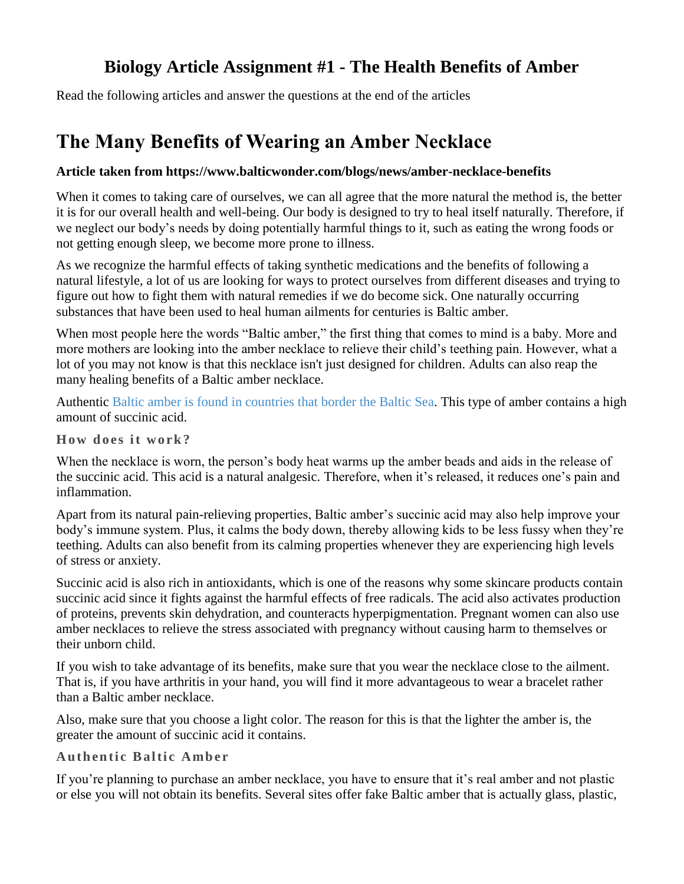### **Biology Article Assignment #1 - The Health Benefits of Amber**

Read the following articles and answer the questions at the end of the articles

## **The Many Benefits of Wearing an Amber Necklace**

#### **Article taken from https://www.balticwonder.com/blogs/news/amber-necklace-benefits**

When it comes to taking care of ourselves, we can all agree that the more natural the method is, the better it is for our overall health and well-being. Our body is designed to try to heal itself naturally. Therefore, if we neglect our body's needs by doing potentially harmful things to it, such as eating the wrong foods or not getting enough sleep, we become more prone to illness.

As we recognize the harmful effects of taking synthetic medications and the benefits of following a natural lifestyle, a lot of us are looking for ways to protect ourselves from different diseases and trying to figure out how to fight them with natural remedies if we do become sick. One naturally occurring substances that have been used to heal human ailments for centuries is Baltic amber.

When most people here the words "Baltic amber," the first thing that comes to mind is a baby. More and more mothers are looking into the amber necklace to relieve their child's teething pain. However, what a lot of you may not know is that this necklace isn't just designed for children. Adults can also reap the many healing benefits of a Baltic amber necklace.

Authentic [Baltic amber is found in countries that border the Baltic Sea.](https://www.balticwonder.com/blogs/news/where-does-amber-come-from) This type of amber contains a high amount of succinic acid.

**How does it work?** 

When the necklace is worn, the person's body heat warms up the amber beads and aids in the release of the succinic acid. This acid is a natural analgesic. Therefore, when it's released, it reduces one's pain and inflammation.

Apart from its natural pain-relieving properties, Baltic amber's succinic acid may also help improve your body's immune system. Plus, it calms the body down, thereby allowing kids to be less fussy when they're teething. Adults can also benefit from its calming properties whenever they are experiencing high levels of stress or anxiety.

Succinic acid is also rich in antioxidants, which is one of the reasons why some skincare products contain succinic acid since it fights against the harmful effects of free radicals. The acid also activates production of proteins, prevents skin dehydration, and counteracts hyperpigmentation. Pregnant women can also use amber necklaces to relieve the stress associated with pregnancy without causing harm to themselves or their unborn child.

If you wish to take advantage of its benefits, make sure that you wear the necklace close to the ailment. That is, if you have arthritis in your hand, you will find it more advantageous to wear a bracelet rather than a Baltic amber necklace.

Also, make sure that you choose a light color. The reason for this is that the lighter the amber is, the greater the amount of succinic acid it contains.

#### **Authentic Baltic Amber**

If you're planning to purchase an amber necklace, you have to ensure that it's real amber and not plastic or else you will not obtain its benefits. Several sites offer fake Baltic amber that is actually glass, plastic,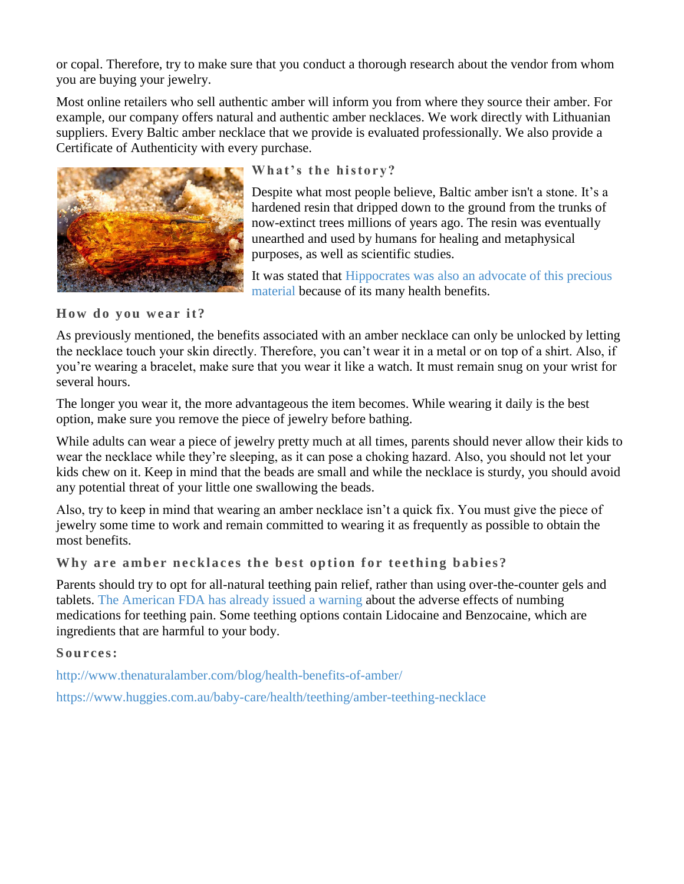or copal. Therefore, try to make sure that you conduct a thorough research about the vendor from whom you are buying your jewelry.

Most online retailers who sell authentic amber will inform you from where they source their amber. For example, our company offers natural and authentic amber necklaces. We work directly with Lithuanian suppliers. Every Baltic amber necklace that we provide is evaluated professionally. We also provide a Certificate of Authenticity with every purchase.



### What's the history?

Despite what most people believe, Baltic amber isn't a stone. It's a hardened resin that dripped down to the ground from the trunks of now-extinct trees millions of years ago. The resin was eventually unearthed and used by humans for healing and metaphysical purposes, as well as scientific studies.

It was stated that [Hippocrates was also an advocate of this precious](https://www.kutekeiki.com/benefits-of-real-raw-baltic-amber-teething-necklace-for-babies/)  [material](https://www.kutekeiki.com/benefits-of-real-raw-baltic-amber-teething-necklace-for-babies/) because of its many health benefits.

How do you wear it?

As previously mentioned, the benefits associated with an amber necklace can only be unlocked by letting the necklace touch your skin directly. Therefore, you can't wear it in a metal or on top of a shirt. Also, if you're wearing a bracelet, make sure that you wear it like a watch. It must remain snug on your wrist for several hours.

The longer you wear it, the more advantageous the item becomes. While wearing it daily is the best option, make sure you remove the piece of jewelry before bathing.

While adults can wear a piece of jewelry pretty much at all times, parents should never allow their kids to wear the necklace while they're sleeping, as it can pose a choking hazard. Also, you should not let your kids chew on it. Keep in mind that the beads are small and while the necklace is sturdy, you should avoid any potential threat of your little one swallowing the beads.

Also, try to keep in mind that wearing an amber necklace isn't a quick fix. You must give the piece of jewelry some time to work and remain committed to wearing it as frequently as possible to obtain the most benefits.

Why are amber necklaces the best option for teething babies?

Parents should try to opt for all-natural teething pain relief, rather than using over-the-counter gels and tablets. [The American FDA has already issued a warning](https://www.fda.gov/ForConsumers/ConsumerUpdates/ucm385817.htm) about the adverse effects of numbing medications for teething pain. Some teething options contain Lidocaine and Benzocaine, which are ingredients that are harmful to your body.

#### Sources:

<http://www.thenaturalamber.com/blog/health-benefits-of-amber/>

<https://www.huggies.com.au/baby-care/health/teething/amber-teething-necklace>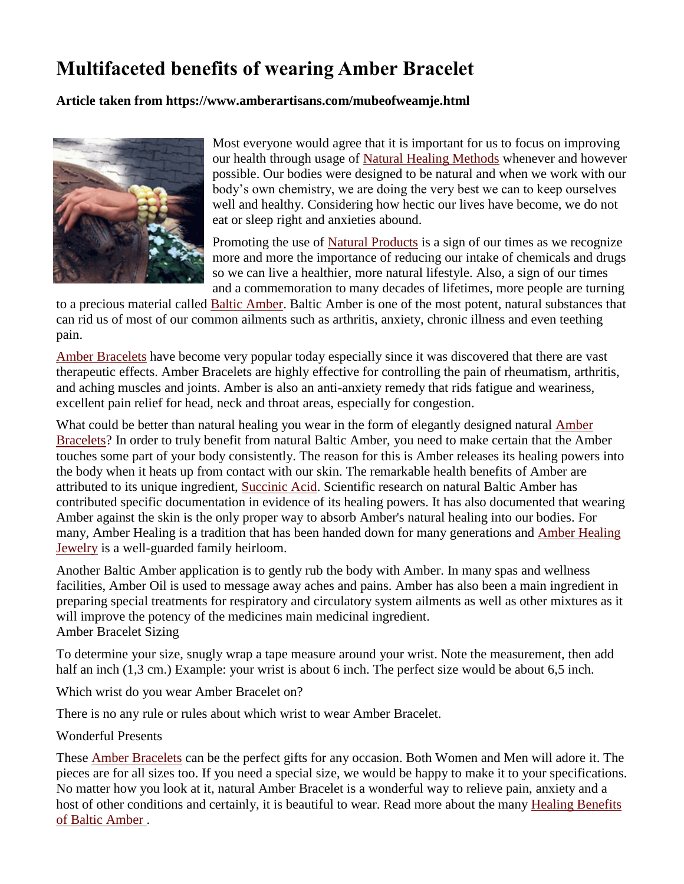# **Multifaceted benefits of wearing Amber Bracelet**

#### **Article taken from https://www.amberartisans.com/mubeofweamje.html**



Most everyone would agree that it is important for us to focus on improving our health through usage of [Natural Healing Methods](http://allhealthcare.monster.com/training/articles/1932-alternative-and-natural-healing-methods-grow-in-popularity) whenever and however possible. Our bodies were designed to be natural and when we work with our body's own chemistry, we are doing the very best we can to keep ourselves well and healthy. Considering how hectic our lives have become, we do not eat or sleep right and anxieties abound.

Promoting the use of [Natural Products](https://en.wikipedia.org/wiki/Natural_product) is a sign of our times as we recognize more and more the importance of reducing our intake of chemicals and drugs so we can live a healthier, more natural lifestyle. Also, a sign of our times and a commemoration to many decades of lifetimes, more people are turning

to a precious material called [Baltic Amber.](http://www.amberartisans.com/whatisamber2.html) Baltic Amber is one of the most potent, natural substances that can rid us of most of our common ailments such as arthritis, anxiety, chronic illness and even teething pain.

[Amber Bracelets](http://www.amberartisans.com/nabaambr5.html) have become very popular today especially since it was discovered that there are vast therapeutic effects. Amber Bracelets are highly effective for controlling the pain of rheumatism, arthritis, and aching muscles and joints. Amber is also an anti-anxiety remedy that rids fatigue and weariness, excellent pain relief for head, neck and throat areas, especially for congestion.

What could be better than natural healing you wear in the form of elegantly designed natural [Amber](http://www.amberartisans.com/meamhebr.html)  [Bracelets?](http://www.amberartisans.com/meamhebr.html) In order to truly benefit from natural Baltic Amber, you need to make certain that the Amber touches some part of your body consistently. The reason for this is Amber releases its healing powers into the body when it heats up from contact with our skin. The remarkable health benefits of Amber are attributed to its unique ingredient, [Succinic Acid.](http://www.amberartisans.com/exhepramac.html) Scientific research on natural Baltic Amber has contributed specific documentation in evidence of its healing powers. It has also documented that wearing Amber against the skin is the only proper way to absorb Amber's natural healing into our bodies. For many, Amber Healing is a tradition that has been handed down for many generations and [Amber Healing](http://www.amberartisans.com/baamhenetona.html)  [Jewelry](http://www.amberartisans.com/baamhenetona.html) is a well-guarded family heirloom.

Another Baltic Amber application is to gently rub the body with Amber. In many spas and wellness facilities, Amber Oil is used to message away aches and pains. Amber has also been a main ingredient in preparing special treatments for respiratory and circulatory system ailments as well as other mixtures as it will improve the potency of the medicines main medicinal ingredient. Amber Bracelet Sizing

To determine your size, snugly wrap a tape measure around your wrist. Note the measurement, then add half an inch (1,3 cm.) Example: your wrist is about 6 inch. The perfect size would be about 6,5 inch.

Which wrist do you wear Amber Bracelet on?

There is no any rule or rules about which wrist to wear Amber Bracelet.

#### Wonderful Presents

These [Amber Bracelets](http://www.amberartisans.com/) can be the perfect gifts for any occasion. Both Women and Men will adore it. The pieces are for all sizes too. If you need a special size, we would be happy to make it to your specifications. No matter how you look at it, natural Amber Bracelet is a wonderful way to relieve pain, anxiety and a host of other conditions and certainly, it is beautiful to wear. Read more about the many [Healing Benefits](http://www.amberartisans.com/baamalme.html)  [of Baltic Amber](http://www.amberartisans.com/baamalme.html) .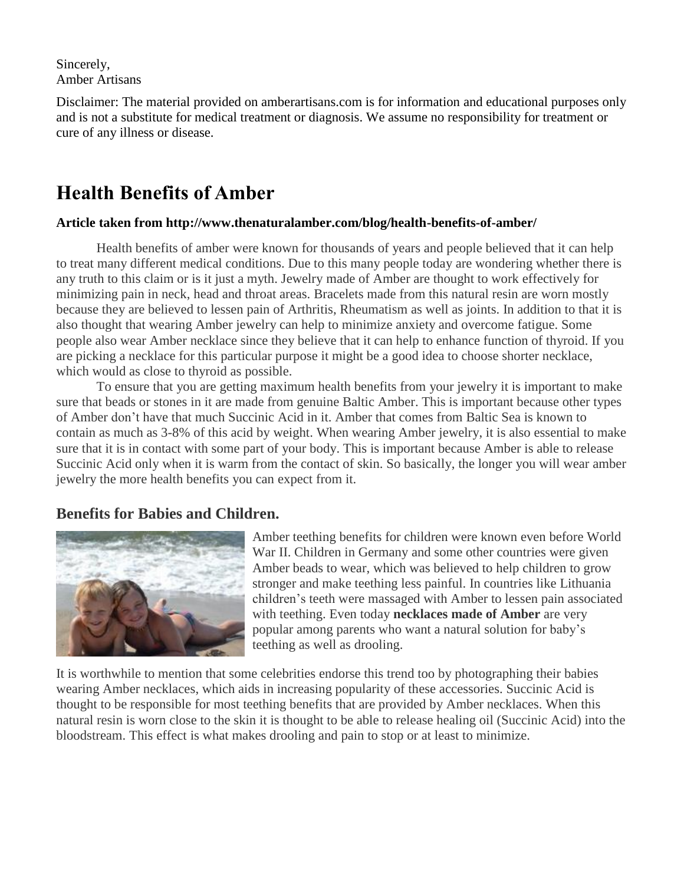Sincerely, Amber Artisans

Disclaimer: The material provided on amberartisans.com is for information and educational purposes only and is not a substitute for medical treatment or diagnosis. We assume no responsibility for treatment or cure of any illness or disease.

## **Health Benefits of Amber**

#### **Article taken from http://www.thenaturalamber.com/blog/health-benefits-of-amber/**

Health benefits of amber were known for thousands of years and people believed that it can help to treat many different medical conditions. Due to this many people today are wondering whether there is any truth to this claim or is it just a myth. Jewelry made of Amber are thought to work effectively for minimizing pain in neck, head and throat areas. Bracelets made from this natural resin are worn mostly because they are believed to lessen pain of Arthritis, Rheumatism as well as joints. In addition to that it is also thought that wearing Amber jewelry can help to minimize anxiety and overcome fatigue. Some people also wear Amber necklace since they believe that it can help to enhance function of thyroid. If you are picking a necklace for this particular purpose it might be a good idea to choose shorter necklace, which would as close to thyroid as possible.

To ensure that you are getting maximum health benefits from your jewelry it is important to make sure that beads or stones in it are made from genuine Baltic Amber. This is important because other types of Amber don't have that much Succinic Acid in it. Amber that comes from Baltic Sea is known to contain as much as 3-8% of this acid by weight. When wearing Amber jewelry, it is also essential to make sure that it is in contact with some part of your body. This is important because Amber is able to release Succinic Acid only when it is warm from the contact of skin. So basically, the longer you will wear amber jewelry the more health benefits you can expect from it.

### **Benefits for Babies and Children.**



Amber teething benefits for children were known even before World War II. Children in Germany and some other countries were given Amber beads to wear, which was believed to help children to grow stronger and make teething less painful. In countries like Lithuania children's teeth were massaged with Amber to lessen pain associated with teething. Even today **[necklaces](http://www.thenaturalamber.com/en/7-amber-necklaces) made of Amber** are very popular among parents who want a natural solution for baby's teething as well as drooling.

It is worthwhile to mention that some celebrities endorse this trend too by photographing their babies wearing Amber necklaces, which aids in increasing popularity of these accessories. Succinic Acid is thought to be responsible for most teething benefits that are provided by Amber necklaces. When this natural resin is worn close to the skin it is thought to be able to release healing oil (Succinic Acid) into the bloodstream. This effect is what makes drooling and pain to stop or at least to minimize.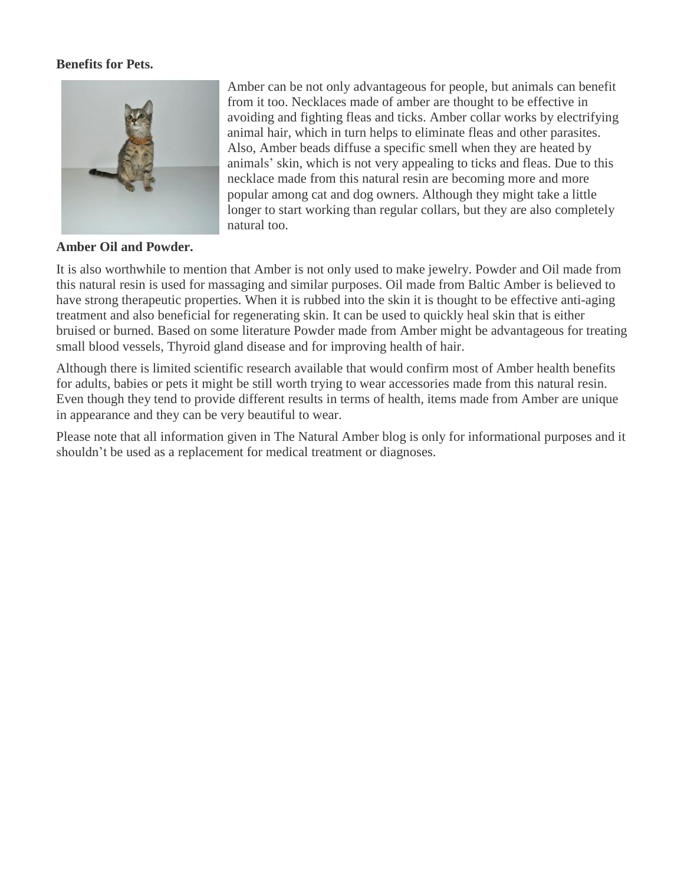#### **Benefits for Pets.**



#### **Amber Oil and Powder.**

Amber can be not only advantageous for people, but animals can benefit from it too. Necklaces made of amber are thought to be effective in avoiding and fighting fleas and ticks. Amber collar works by electrifying animal hair, which in turn helps to eliminate fleas and other parasites. Also, Amber beads diffuse a specific smell when they are heated by animals' skin, which is not very appealing to ticks and fleas. Due to this necklace made from this natural resin are becoming more and more popular among cat and dog owners. Although they might take a little longer to start working than regular collars, but they are also completely natural too.

It is also worthwhile to mention that Amber is not only used to make jewelry. Powder and Oil made from this natural resin is used for massaging and similar purposes. Oil made from Baltic Amber is believed to have strong therapeutic properties. When it is rubbed into the skin it is thought to be effective anti-aging treatment and also beneficial for regenerating skin. It can be used to quickly heal skin that is either bruised or burned. Based on some literature Powder made from Amber might be advantageous for treating small blood vessels, Thyroid gland disease and for improving health of hair.

Although there is limited scientific research available that would confirm most of Amber health benefits for adults, babies or pets it might be still worth trying to wear accessories made from this natural resin. Even though they tend to provide different results in terms of health, items made from Amber are unique in appearance and they can be very beautiful to wear.

Please note that all information given in The Natural Amber blog is only for informational purposes and it shouldn't be used as a replacement for medical treatment or diagnoses.